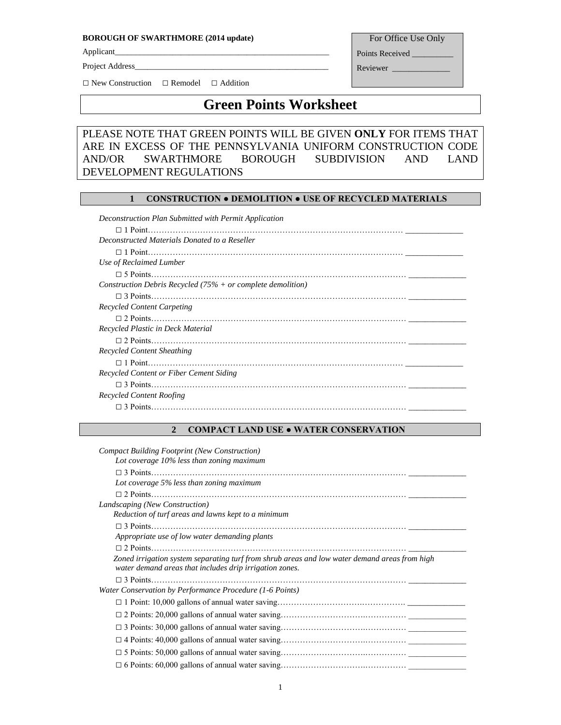#### **BOROUGH OF SWARTHMORE (2014 update)**

Applicant\_\_\_\_\_\_\_\_\_\_\_\_\_\_\_\_\_\_\_\_\_\_\_\_\_\_\_\_\_\_\_\_\_\_\_\_\_\_\_\_\_\_\_\_\_\_\_\_\_\_\_\_

Project Address\_

For Office Use Only

Points Received \_\_\_\_\_

Reviewer

□ New Construction □ Remodel □ Addition

# **Green Points Worksheet**

## PLEASE NOTE THAT GREEN POINTS WILL BE GIVEN **ONLY** FOR ITEMS THAT ARE IN EXCESS OF THE PENNSYLVANIA UNIFORM CONSTRUCTION CODE AND/OR SWARTHMORE BOROUGH SUBDIVISION AND LAND DEVELOPMENT REGULATIONS

## **1 CONSTRUCTION ● DEMOLITION ● USE OF RECYCLED MATERIALS**

*Deconstruction Plan Submitted with Permit Application*  □ 1 Point………………………………………………………………………………… \_\_\_\_\_\_\_\_\_\_\_\_\_\_ *Deconstructed Materials Donated to a Reseller* □ 1 Point………………………………………………………………………………… \_\_\_\_\_\_\_\_\_\_\_\_\_\_ *Use of Reclaimed Lumber* □ 5 Points………………………………………………………………………………… \_\_\_\_\_\_\_\_\_\_\_\_\_\_ *Construction Debris Recycled (75% + or complete demolition)* □ 3 Points………………………………………………………………………………… \_\_\_\_\_\_\_\_\_\_\_\_\_\_ *Recycled Content Carpeting* □ 2 Points………………………………………………………………………………… \_\_\_\_\_\_\_\_\_\_\_\_\_\_ *Recycled Plastic in Deck Material* □ 2 Points………………………………………………………………………………… \_\_\_\_\_\_\_\_\_\_\_\_\_\_ *Recycled Content Sheathing* □ 1 Point………………………………………………………………………………… \_\_\_\_\_\_\_\_\_\_\_\_\_\_ *Recycled Content or Fiber Cement Siding* □ 3 Points………………………………………………………………………………… \_\_\_\_\_\_\_\_\_\_\_\_\_\_ *Recycled Content Roofing* □ 3 Points………………………………………………………………………………… \_\_\_\_\_\_\_\_\_\_\_\_\_\_

## **2 COMPACT LAND USE ● WATER CONSERVATION**

| <b>Compact Building Footprint (New Construction)</b>                                                                                                     |
|----------------------------------------------------------------------------------------------------------------------------------------------------------|
| Lot coverage 10% less than zoning maximum                                                                                                                |
|                                                                                                                                                          |
| Lot coverage 5% less than zoning maximum                                                                                                                 |
| $\Box$ 2 Points.                                                                                                                                         |
| Landscaping (New Construction)                                                                                                                           |
| Reduction of turf areas and lawns kept to a minimum                                                                                                      |
|                                                                                                                                                          |
| Appropriate use of low water demanding plants                                                                                                            |
|                                                                                                                                                          |
| Zoned irrigation system separating turf from shrub areas and low water demand areas from high<br>water demand areas that includes drip irrigation zones. |
|                                                                                                                                                          |
| Water Conservation by Performance Procedure (1-6 Points)                                                                                                 |
|                                                                                                                                                          |
|                                                                                                                                                          |
|                                                                                                                                                          |
|                                                                                                                                                          |
|                                                                                                                                                          |
|                                                                                                                                                          |
|                                                                                                                                                          |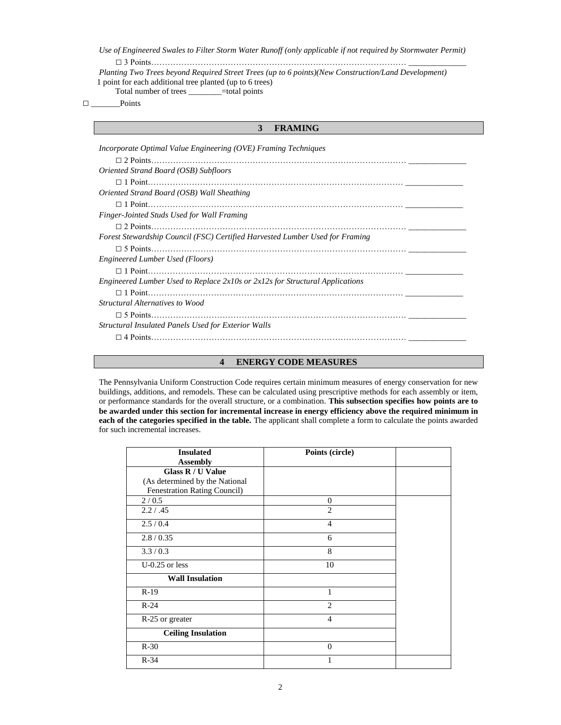*Use of Engineered Swales to Filter Storm Water Runoff (only applicable if not required by Stormwater Permit)* □ 3 Points………………………………………………………………………………… \_\_\_\_\_\_\_\_\_\_\_\_\_\_

 *Planting Two Trees beyond Required Street Trees (up to 6 points)(New Construction/Land Development)* 1 point for each additional tree planted (up to 6 trees) Total number of trees \_\_\_\_\_\_\_\_=total points

□ \_\_\_\_\_\_\_Points

## **3 FRAMING**

| <i>Incorporate Optimal Value Engineering (OVE) Framing Techniques</i>                                                                                      |  |  |
|------------------------------------------------------------------------------------------------------------------------------------------------------------|--|--|
|                                                                                                                                                            |  |  |
| Oriented Strand Board (OSB) Subfloors                                                                                                                      |  |  |
|                                                                                                                                                            |  |  |
| Oriented Strand Board (OSB) Wall Sheathing                                                                                                                 |  |  |
|                                                                                                                                                            |  |  |
| Finger-Jointed Studs Used for Wall Framing                                                                                                                 |  |  |
|                                                                                                                                                            |  |  |
| Forest Stewardship Council (FSC) Certified Harvested Lumber Used for Framing                                                                               |  |  |
|                                                                                                                                                            |  |  |
| Engineered Lumber Used (Floors)                                                                                                                            |  |  |
|                                                                                                                                                            |  |  |
| Engineered Lumber Used to Replace 2x10s or 2x12s for Structural Applications                                                                               |  |  |
|                                                                                                                                                            |  |  |
| Structural Alternatives to Wood                                                                                                                            |  |  |
|                                                                                                                                                            |  |  |
| <b>Structural Insulated Panels Used for Exterior Walls</b>                                                                                                 |  |  |
| $4 \text{ Points.}$ $\ldots$ $\ldots$ $\ldots$ $\ldots$ $\ldots$ $\ldots$ $\ldots$ $\ldots$ $\ldots$ $\ldots$ $\ldots$ $\ldots$ $\ldots$ $\ldots$ $\ldots$ |  |  |
|                                                                                                                                                            |  |  |

### **4 ENERGY CODE MEASURES**

The Pennsylvania Uniform Construction Code requires certain minimum measures of energy conservation for new buildings, additions, and remodels. These can be calculated using prescriptive methods for each assembly or item, or performance standards for the overall structure, or a combination. **This subsection specifies how points are to be awarded under this section for incremental increase in energy efficiency above the required minimum in each of the categories specified in the table.** The applicant shall complete a form to calculate the points awarded for such incremental increases.

| <b>Insulated</b>               | Points (circle) |  |
|--------------------------------|-----------------|--|
| <b>Assembly</b>                |                 |  |
| Glass R / U Value              |                 |  |
| (As determined by the National |                 |  |
| Fenestration Rating Council)   |                 |  |
| 2/0.5                          | $\theta$        |  |
| 2.2 / .45                      | $\overline{2}$  |  |
| 2.5/0.4                        | $\overline{4}$  |  |
| 2.8 / 0.35                     | 6               |  |
| 3.3/0.3                        | 8               |  |
| $U-0.25$ or less               | 10              |  |
| <b>Wall Insulation</b>         |                 |  |
| $R-19$                         |                 |  |
| $R-24$                         | 2               |  |
| R-25 or greater                | $\overline{4}$  |  |
| <b>Ceiling Insulation</b>      |                 |  |
| $R-30$                         | $\Omega$        |  |
| $R-34$                         |                 |  |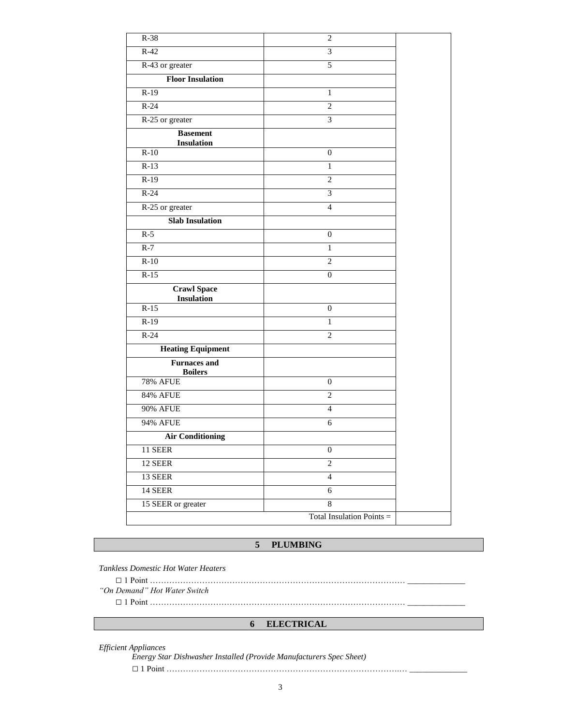| $R-38$                                  | $\mathbf{2}$              |  |
|-----------------------------------------|---------------------------|--|
| $R-42$                                  | 3                         |  |
| R-43 or greater                         | 5                         |  |
| <b>Floor Insulation</b>                 |                           |  |
| $R-19$                                  | 1                         |  |
| $R-24$                                  | $\overline{2}$            |  |
| R-25 or greater                         | 3                         |  |
| <b>Basement</b><br><b>Insulation</b>    |                           |  |
| $R-10$                                  | $\boldsymbol{0}$          |  |
| $R-13$                                  | $\mathbf{1}$              |  |
| $R-19$                                  | $\overline{c}$            |  |
| $R-24$                                  | 3                         |  |
| R-25 or greater                         | $\overline{4}$            |  |
| <b>Slab Insulation</b>                  |                           |  |
| $R-5$                                   | $\boldsymbol{0}$          |  |
| $R-7$                                   | 1                         |  |
| $R-10$                                  | $\overline{c}$            |  |
| $R-15$                                  | $\boldsymbol{0}$          |  |
| <b>Crawl Space</b><br><b>Insulation</b> |                           |  |
| $R-15$                                  | $\mathbf{0}$              |  |
| $R-19$                                  | $\mathbf{1}$              |  |
| $R-24$                                  | $\overline{c}$            |  |
| <b>Heating Equipment</b>                |                           |  |
| <b>Furnaces and</b><br><b>Boilers</b>   |                           |  |
| <b>78% AFUE</b>                         | $\boldsymbol{0}$          |  |
| <b>84% AFUE</b>                         | $\sqrt{2}$                |  |
| <b>90% AFUE</b>                         | $\overline{4}$            |  |
| <b>94% AFUE</b>                         | 6                         |  |
| <b>Air Conditioning</b>                 |                           |  |
| $11$ SEER                               | $\boldsymbol{0}$          |  |
| 12 SEER                                 | $\overline{2}$            |  |
| 13 SEER                                 | $\overline{4}$            |  |
| 14 SEER                                 | 6                         |  |
| 15 SEER or greater                      | $8\,$                     |  |
|                                         | Total Insulation Points = |  |

## **5 PLUMBING**

*Tankless Domestic Hot Water Heaters*

□ 1 Point ………………………………………………………………………………… \_\_\_\_\_\_\_\_\_\_\_\_\_\_

*"On Demand" Hot Water Switch*

□ 1 Point ………………………………………………………………………………… \_\_\_\_\_\_\_\_\_\_\_\_\_\_

## **6 ELECTRICAL**

*Efficient Appliances*

*Energy Star Dishwasher Installed (Provide Manufacturers Spec Sheet)* □ 1 Point ………………………………………………………………………….… \_\_\_\_\_\_\_\_\_\_\_\_\_\_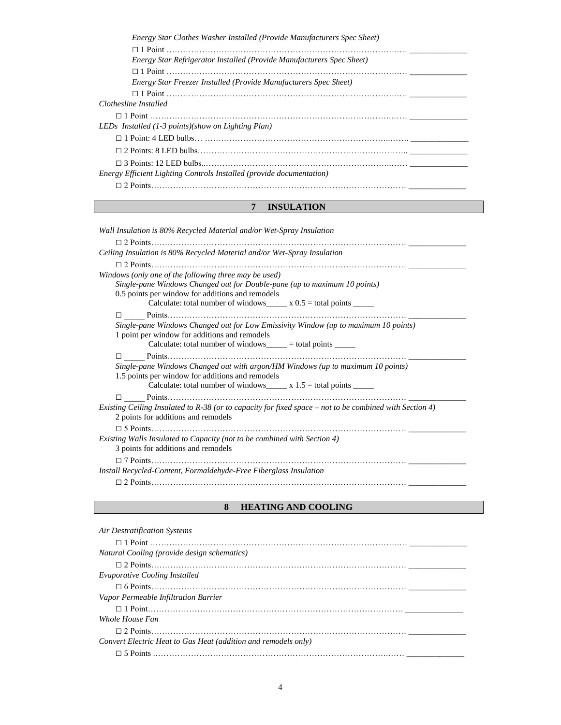#### **7 INSULATION**

*Wall Insulation is 80% Recycled Material and/or Wet-Spray Insulation* □ 2 Points………………………………………………………………………………… \_\_\_\_\_\_\_\_\_\_\_\_\_\_ *Ceiling Insulation is 80% Recycled Material and/or Wet-Spray Insulation* □ 2 Points………………………………………………………………………………… \_\_\_\_\_\_\_\_\_\_\_\_\_\_ *Windows (only one of the following three may be used) Single-pane Windows Changed out for Double-pane (up to maximum 10 points)* 0.5 points per window for additions and remodels Calculate: total number of windows\_\_\_\_\_  $x = 0.5$  = total points \_\_\_\_\_\_ □ \_\_\_\_\_ Points…………………………………………………………………………… \_\_\_\_\_\_\_\_\_\_\_\_\_\_  *Single-pane Windows Changed out for Low Emissivity Window (up to maximum 10 points)* 1 point per window for additions and remodels Calculate: total number of windows\_\_\_\_\_ = total points  $\frac{1}{\sqrt{1-\frac{1}{n}}}\right)$ □ \_\_\_\_\_ Points…………………………………………………………………………… \_\_\_\_\_\_\_\_\_\_\_\_\_\_  *Single-pane Windows Changed out with argon/HM Windows (up to maximum 10 points)* 1.5 points per window for additions and remodels Calculate: total number of windows  $\frac{\ }{\ }$  x 1.5 = total points  $\frac{\ }{\ }$ □ \_\_\_\_\_ Points…………………………………………………………………………… \_\_\_\_\_\_\_\_\_\_\_\_\_\_ *Existing Ceiling Insulated to R-38 (or to capacity for fixed space – not to be combined with Section 4)* 2 points for additions and remodels □ 5 Points………………………………………………………………………………… \_\_\_\_\_\_\_\_\_\_\_\_\_\_ *Existing Walls Insulated to Capacity (not to be combined with Section 4)* 3 points for additions and remodels □ 7 Points………………………………………………………………………………… \_\_\_\_\_\_\_\_\_\_\_\_\_\_ *Install Recycled-Content, Formaldehyde-Free Fiberglass Insulation* □ 2 Points………………………………………………………………………………… \_\_\_\_\_\_\_\_\_\_\_\_\_\_

#### **8 HEATING AND COOLING**

| <b>Air Destratification Systems</b>                            |
|----------------------------------------------------------------|
|                                                                |
| Natural Cooling (provide design schematics)                    |
|                                                                |
| <b>Evaporative Cooling Installed</b>                           |
|                                                                |
| Vapor Permeable Infiltration Barrier                           |
|                                                                |
| Whole House Fan                                                |
|                                                                |
| Convert Electric Heat to Gas Heat (addition and remodels only) |
|                                                                |